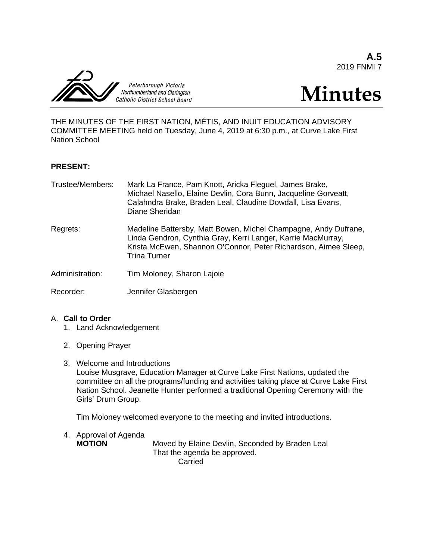**A.5** 2019 FNMI 7



# **Minutes**

THE MINUTES OF THE FIRST NATION, MÉTIS, AND INUIT EDUCATION ADVISORY COMMITTEE MEETING held on Tuesday, June 4, 2019 at 6:30 p.m., at Curve Lake First Nation School

#### **PRESENT:**

| Trustee/Members: | Mark La France, Pam Knott, Aricka Fleguel, James Brake,<br>Michael Nasello, Elaine Devlin, Cora Bunn, Jacqueline Gorveatt,<br>Calahndra Brake, Braden Leal, Claudine Dowdall, Lisa Evans,<br>Diane Sheridan               |
|------------------|---------------------------------------------------------------------------------------------------------------------------------------------------------------------------------------------------------------------------|
| Regrets:         | Madeline Battersby, Matt Bowen, Michel Champagne, Andy Dufrane,<br>Linda Gendron, Cynthia Gray, Kerri Langer, Karrie MacMurray,<br>Krista McEwen, Shannon O'Connor, Peter Richardson, Aimee Sleep,<br><b>Trina Turner</b> |
| Administration:  | Tim Moloney, Sharon Lajoie                                                                                                                                                                                                |
| Recorder:        | Jennifer Glasbergen                                                                                                                                                                                                       |

#### A. **Call to Order**

- 1. Land Acknowledgement
- 2. Opening Prayer
- 3. Welcome and Introductions Louise Musgrave, Education Manager at Curve Lake First Nations, updated the committee on all the programs/funding and activities taking place at Curve Lake First Nation School. Jeanette Hunter performed a traditional Opening Ceremony with the Girls' Drum Group.

Tim Moloney welcomed everyone to the meeting and invited introductions.

4. Approval of Agenda

**MOTION** Moved by Elaine Devlin, Seconded by Braden Leal That the agenda be approved. Carried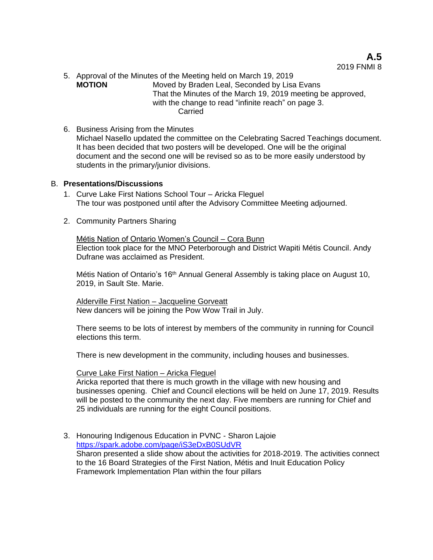**A.5** 2019 FNMI 8

- 5. Approval of the Minutes of the Meeting held on March 19, 2019 **MOTION** Moved by Braden Leal, Seconded by Lisa Evans That the Minutes of the March 19, 2019 meeting be approved, with the change to read "infinite reach" on page 3. **Carried**
- 6. Business Arising from the Minutes Michael Nasello updated the committee on the Celebrating Sacred Teachings document. It has been decided that two posters will be developed. One will be the original document and the second one will be revised so as to be more easily understood by students in the primary/junior divisions.

#### B. **Presentations/Discussions**

- 1. Curve Lake First Nations School Tour Aricka Fleguel The tour was postponed until after the Advisory Committee Meeting adjourned.
- 2. Community Partners Sharing

Métis Nation of Ontario Women's Council – Cora Bunn Election took place for the MNO Peterborough and District Wapiti Métis Council. Andy Dufrane was acclaimed as President.

Métis Nation of Ontario's 16<sup>th</sup> Annual General Assembly is taking place on August 10, 2019, in Sault Ste. Marie.

Alderville First Nation – Jacqueline Gorveatt New dancers will be joining the Pow Wow Trail in July.

There seems to be lots of interest by members of the community in running for Council elections this term.

There is new development in the community, including houses and businesses.

#### Curve Lake First Nation – Aricka Fleguel

Aricka reported that there is much growth in the village with new housing and businesses opening. Chief and Council elections will be held on June 17, 2019. Results will be posted to the community the next day. Five members are running for Chief and 25 individuals are running for the eight Council positions.

3. Honouring Indigenous Education in PVNC - Sharon Lajoie [https://spark.adobe.com/page/iS3eDxB0SUdVR](https://spark.adobe.com/page/hXBvBUC9CBXkb/) Sharon presented a slide show about the activities for 2018-2019. The activities connect to the 16 Board Strategies of the First Nation, Métis and Inuit Education Policy Framework Implementation Plan within the four pillars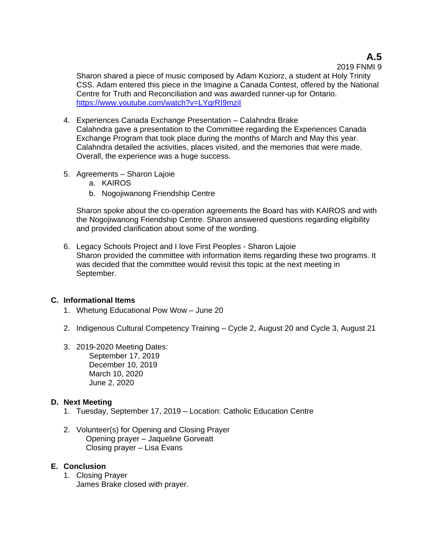### **A.5**

#### 2019 FNMI 9

Sharon shared a piece of music composed by Adam Koziorz, a student at Holy Trinity CSS. Adam entered this piece in the Imagine a Canada Contest, offered by the National Centre for Truth and Reconciliation and was awarded runner-up for Ontario. <https://www.youtube.com/watch?v=LYqrRI9mziI>

- 4. Experiences Canada Exchange Presentation Calahndra Brake Calahndra gave a presentation to the Committee regarding the Experiences Canada Exchange Program that took place during the months of March and May this year. Calahndra detailed the activities, places visited, and the memories that were made. Overall, the experience was a huge success.
- 5. Agreements Sharon Lajoie
	- a. KAIROS
	- b. Nogojiwanong Friendship Centre

Sharon spoke about the co-operation agreements the Board has with KAIROS and with the Nogojiwanong Friendship Centre. Sharon answered questions regarding eligibility and provided clarification about some of the wording.

6. Legacy Schools Project and I love First Peoples - Sharon Lajoie Sharon provided the committee with information items regarding these two programs. It was decided that the committee would revisit this topic at the next meeting in September.

#### **C. Informational Items**

- 1. Whetung Educational Pow Wow June 20
- 2. Indigenous Cultural Competency Training Cycle 2, August 20 and Cycle 3, August 21
- 3. 2019-2020 Meeting Dates: September 17, 2019 December 10, 2019 March 10, 2020 June 2, 2020

#### **D. Next Meeting**

- 1. Tuesday, September 17, 2019 Location: Catholic Education Centre
- 2. Volunteer(s) for Opening and Closing Prayer Opening prayer – Jaqueline Gorveatt Closing prayer – Lisa Evans

#### **E. Conclusion**

1. Closing Prayer James Brake closed with prayer.